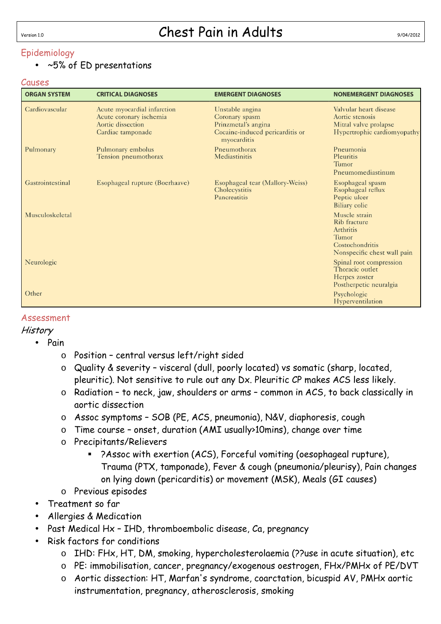### Epidemiology

#### • ~5% of ED presentations

#### Causes

| <b>ORGAN SYSTEM</b> | <b>CRITICAL DIAGNOSES</b>                                                                        | <b>EMERGENT DIAGNOSES</b>                                                                                  | <b>NONEMERGENT DIAGNOSES</b>                                                                          |
|---------------------|--------------------------------------------------------------------------------------------------|------------------------------------------------------------------------------------------------------------|-------------------------------------------------------------------------------------------------------|
| Cardiovascular      | Acute myocardial infarction<br>Acute coronary ischemia<br>Aortic dissection<br>Cardiac tamponade | Unstable angina<br>Coronary spasm<br>Prinzmetal's angina<br>Cocaine-induced pericarditis or<br>myocarditis | Valvular heart disease<br>Aortic stenosis<br>Mitral valve prolapse<br>Hypertrophic cardiomyopathy     |
| Pulmonary           | Pulmonary embolus<br>Tension pneumothorax                                                        | Pneumothorax<br>Mediastinitis                                                                              | Pneumonia<br>Pleuritis<br>Tumor<br>Pneumomediastinum                                                  |
| Gastrointestinal    | Esophageal rupture (Boerhaave)                                                                   | Esophageal tear (Mallory-Weiss)<br>Cholecystitis<br>Pancreatitis                                           | Esophageal spasm<br>Esophageal reflux<br>Peptic ulcer<br><b>Biliary</b> colic                         |
| Musculoskeletal     |                                                                                                  |                                                                                                            | Muscle strain<br>Rib fracture<br>Arthritis<br>Tumor<br>Costochondritis<br>Nonspecific chest wall pain |
| Neurologic          |                                                                                                  |                                                                                                            | Spinal root compression<br>Thoracic outlet<br>Herpes zoster<br>Postherpetic neuralgia                 |
| Other               |                                                                                                  |                                                                                                            | Psychologic<br>Hyperventilation                                                                       |

#### Assessment

#### **History**

- Pain
	- o Position central versus left/right sided
	- o Quality & severity visceral (dull, poorly located) vs somatic (sharp, located, pleuritic). Not sensitive to rule out any Dx. Pleuritic CP makes ACS less likely.
	- o Radiation to neck, jaw, shoulders or arms common in ACS, to back classically in aortic dissection
	- o Assoc symptoms SOB (PE, ACS, pneumonia), N&V, diaphoresis, cough
	- o Time course onset, duration (AMI usually>10mins), change over time
	- o Precipitants/Relievers
		- ?Assoc with exertion (ACS), Forceful vomiting (oesophageal rupture), Trauma (PTX, tamponade), Fever & cough (pneumonia/pleurisy), Pain changes on lying down (pericarditis) or movement (MSK), Meals (GI causes)
	- o Previous episodes
- Treatment so far
- Allergies & Medication
- Past Medical Hx IHD, thromboembolic disease, Ca, pregnancy
- Risk factors for conditions
	- o IHD: FHx, HT, DM, smoking, hypercholesterolaemia (??use in acute situation), etc
	- o PE: immobilisation, cancer, pregnancy/exogenous oestrogen, FHx/PMHx of PE/DVT
	- o Aortic dissection: HT, Marfan's syndrome, coarctation, bicuspid AV, PMHx aortic instrumentation, pregnancy, atherosclerosis, smoking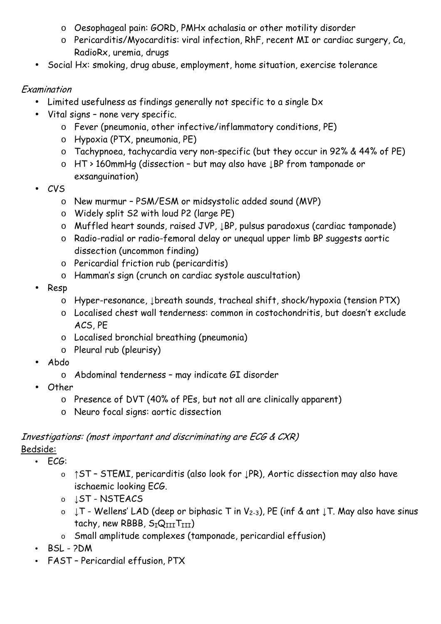- o Oesophageal pain: GORD, PMHx achalasia or other motility disorder
- o Pericarditis/Myocarditis: viral infection, RhF, recent MI or cardiac surgery, Ca, RadioRx, uremia, drugs
- Social Hx: smoking, drug abuse, employment, home situation, exercise tolerance

### Examination

- Limited usefulness as findings generally not specific to a single Dx
- Vital signs none very specific.
	- o Fever (pneumonia, other infective/inflammatory conditions, PE)
	- o Hypoxia (PTX, pneumonia, PE)
	- o Tachypnoea, tachycardia very non-specific (but they occur in 92% & 44% of PE)
	- o HT > 160mmHg (dissection but may also have ↓BP from tamponade or exsanguination)
- CVS
	- o New murmur PSM/ESM or midsystolic added sound (MVP)
	- o Widely split S2 with loud P2 (large PE)
	- o Muffled heart sounds, raised JVP, ↓BP, pulsus paradoxus (cardiac tamponade)
	- o Radio-radial or radio-femoral delay or unequal upper limb BP suggests aortic dissection (uncommon finding)
	- o Pericardial friction rub (pericarditis)
	- o Hamman's sign (crunch on cardiac systole auscultation)
- Resp
	- o Hyper-resonance, ↓breath sounds, tracheal shift, shock/hypoxia (tension PTX)
	- o Localised chest wall tenderness: common in costochondritis, but doesn't exclude ACS, PE
	- o Localised bronchial breathing (pneumonia)
	- o Pleural rub (pleurisy)
- Abdo
	- o Abdominal tenderness may indicate GI disorder
- Other
	- o Presence of DVT (40% of PEs, but not all are clinically apparent)
	- o Neuro focal signs: aortic dissection

# Investigations: (most important and discriminating are ECG & CXR)

### Bedside:

- ECG:
	- o ↑ST STEMI, pericarditis (also look for ↓PR), Aortic dissection may also have ischaemic looking ECG.
	- o **LST NSTEACS**
	- o ↓T Wellens' LAD (deep or biphasic T in V2-3), PE (inf & ant ↓T. May also have sinus tachy, new RBBB,  $S_TQ_{TIT}T_{TIT}$ )
	- o Small amplitude complexes (tamponade, pericardial effusion)
- BSL ?DM
- FAST Pericardial effusion, PTX